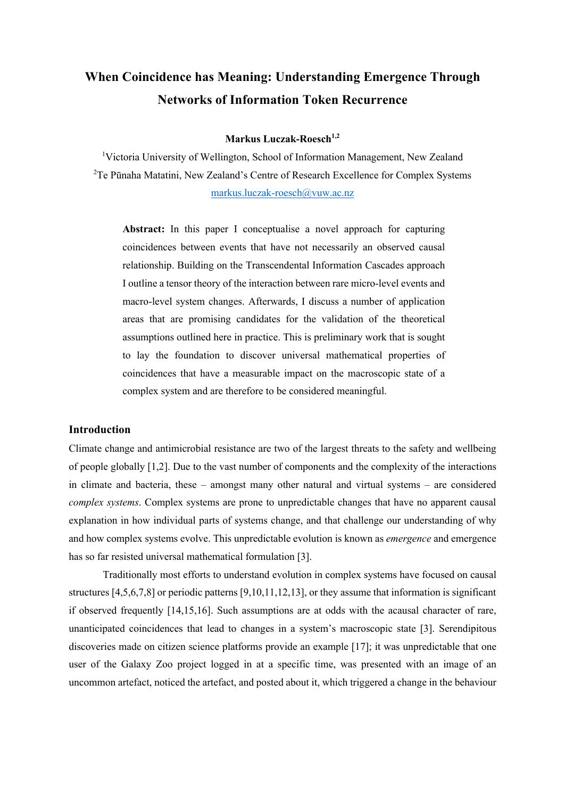# **When Coincidence has Meaning: Understanding Emergence Through Networks of Information Token Recurrence**

## **Markus Luczak-Roesch1,2**

<sup>1</sup>Victoria University of Wellington, School of Information Management, New Zealand <sup>2</sup>Te Pūnaha Matatini, New Zealand's Centre of Research Excellence for Complex Systems markus.luczak-roesch@vuw.ac.nz

**Abstract:** In this paper I conceptualise a novel approach for capturing coincidences between events that have not necessarily an observed causal relationship. Building on the Transcendental Information Cascades approach I outline a tensor theory of the interaction between rare micro-level events and macro-level system changes. Afterwards, I discuss a number of application areas that are promising candidates for the validation of the theoretical assumptions outlined here in practice. This is preliminary work that is sought to lay the foundation to discover universal mathematical properties of coincidences that have a measurable impact on the macroscopic state of a complex system and are therefore to be considered meaningful.

### **Introduction**

Climate change and antimicrobial resistance are two of the largest threats to the safety and wellbeing of people globally [1,2]. Due to the vast number of components and the complexity of the interactions in climate and bacteria, these – amongst many other natural and virtual systems – are considered *complex systems*. Complex systems are prone to unpredictable changes that have no apparent causal explanation in how individual parts of systems change, and that challenge our understanding of why and how complex systems evolve. This unpredictable evolution is known as *emergence* and emergence has so far resisted universal mathematical formulation [3].

Traditionally most efforts to understand evolution in complex systems have focused on causal structures [4,5,6,7,8] or periodic patterns [9,10,11,12,13], or they assume that information is significant if observed frequently [14,15,16]. Such assumptions are at odds with the acausal character of rare, unanticipated coincidences that lead to changes in a system's macroscopic state [3]. Serendipitous discoveries made on citizen science platforms provide an example [17]; it was unpredictable that one user of the Galaxy Zoo project logged in at a specific time, was presented with an image of an uncommon artefact, noticed the artefact, and posted about it, which triggered a change in the behaviour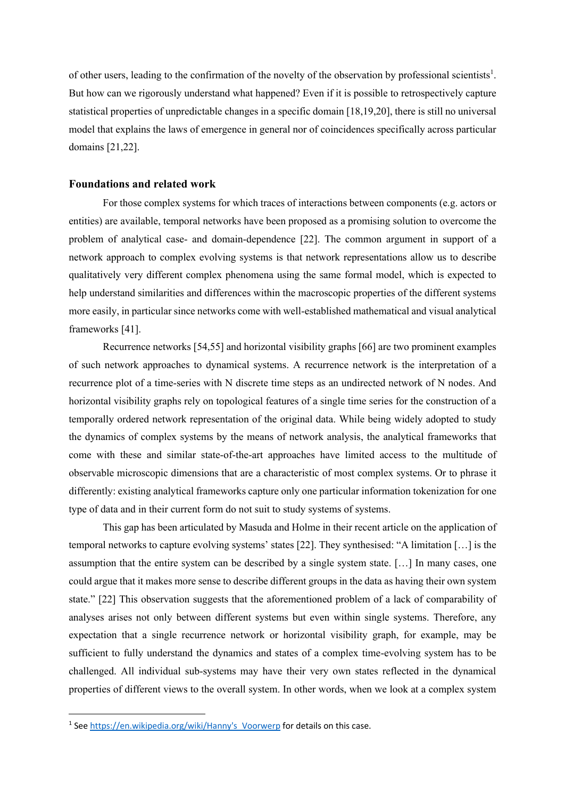of other users, leading to the confirmation of the novelty of the observation by professional scientists<sup>1</sup>. But how can we rigorously understand what happened? Even if it is possible to retrospectively capture statistical properties of unpredictable changes in a specific domain [18,19,20], there is still no universal model that explains the laws of emergence in general nor of coincidences specifically across particular domains [21,22].

### **Foundations and related work**

For those complex systems for which traces of interactions between components (e.g. actors or entities) are available, temporal networks have been proposed as a promising solution to overcome the problem of analytical case- and domain-dependence [22]. The common argument in support of a network approach to complex evolving systems is that network representations allow us to describe qualitatively very different complex phenomena using the same formal model, which is expected to help understand similarities and differences within the macroscopic properties of the different systems more easily, in particular since networks come with well-established mathematical and visual analytical frameworks [41].

Recurrence networks [54,55] and horizontal visibility graphs [66] are two prominent examples of such network approaches to dynamical systems. A recurrence network is the interpretation of a recurrence plot of a time-series with N discrete time steps as an undirected network of N nodes. And horizontal visibility graphs rely on topological features of a single time series for the construction of a temporally ordered network representation of the original data. While being widely adopted to study the dynamics of complex systems by the means of network analysis, the analytical frameworks that come with these and similar state-of-the-art approaches have limited access to the multitude of observable microscopic dimensions that are a characteristic of most complex systems. Or to phrase it differently: existing analytical frameworks capture only one particular information tokenization for one type of data and in their current form do not suit to study systems of systems.

This gap has been articulated by Masuda and Holme in their recent article on the application of temporal networks to capture evolving systems' states [22]. They synthesised: "A limitation […] is the assumption that the entire system can be described by a single system state. […] In many cases, one could argue that it makes more sense to describe different groups in the data as having their own system state." [22] This observation suggests that the aforementioned problem of a lack of comparability of analyses arises not only between different systems but even within single systems. Therefore, any expectation that a single recurrence network or horizontal visibility graph, for example, may be sufficient to fully understand the dynamics and states of a complex time-evolving system has to be challenged. All individual sub-systems may have their very own states reflected in the dynamical properties of different views to the overall system. In other words, when we look at a complex system

<sup>&</sup>lt;sup>1</sup> See https://en.wikipedia.org/wiki/Hanny's Voorwerp for details on this case.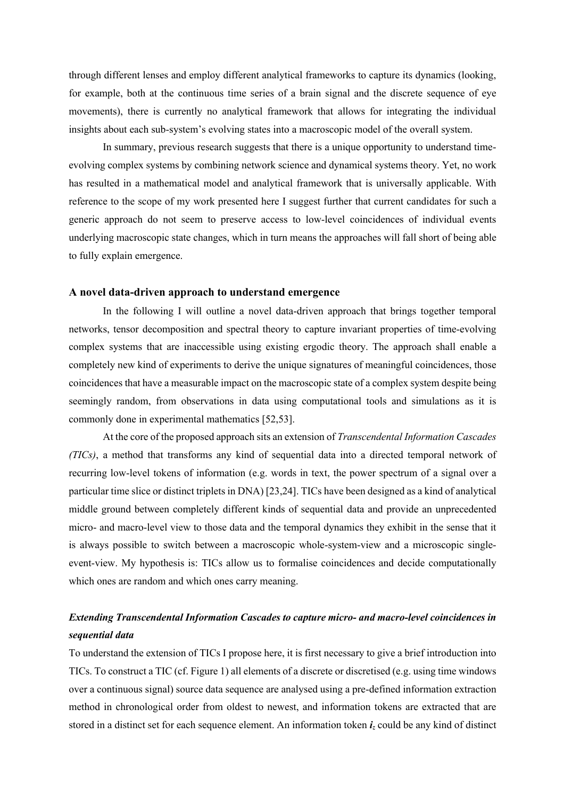through different lenses and employ different analytical frameworks to capture its dynamics (looking, for example, both at the continuous time series of a brain signal and the discrete sequence of eye movements), there is currently no analytical framework that allows for integrating the individual insights about each sub-system's evolving states into a macroscopic model of the overall system.

In summary, previous research suggests that there is a unique opportunity to understand timeevolving complex systems by combining network science and dynamical systems theory. Yet, no work has resulted in a mathematical model and analytical framework that is universally applicable. With reference to the scope of my work presented here I suggest further that current candidates for such a generic approach do not seem to preserve access to low-level coincidences of individual events underlying macroscopic state changes, which in turn means the approaches will fall short of being able to fully explain emergence.

#### **A novel data-driven approach to understand emergence**

In the following I will outline a novel data-driven approach that brings together temporal networks, tensor decomposition and spectral theory to capture invariant properties of time-evolving complex systems that are inaccessible using existing ergodic theory. The approach shall enable a completely new kind of experiments to derive the unique signatures of meaningful coincidences, those coincidences that have a measurable impact on the macroscopic state of a complex system despite being seemingly random, from observations in data using computational tools and simulations as it is commonly done in experimental mathematics [52,53].

At the core of the proposed approach sits an extension of *Transcendental Information Cascades (TICs)*, a method that transforms any kind of sequential data into a directed temporal network of recurring low-level tokens of information (e.g. words in text, the power spectrum of a signal over a particular time slice or distinct triplets in DNA) [23,24]. TICs have been designed as a kind of analytical middle ground between completely different kinds of sequential data and provide an unprecedented micro- and macro-level view to those data and the temporal dynamics they exhibit in the sense that it is always possible to switch between a macroscopic whole-system-view and a microscopic singleevent-view. My hypothesis is: TICs allow us to formalise coincidences and decide computationally which ones are random and which ones carry meaning.

# *Extending Transcendental Information Cascades to capture micro- and macro-level coincidences in sequential data*

To understand the extension of TICs I propose here, it is first necessary to give a brief introduction into TICs. To construct a TIC (cf. Figure 1) all elements of a discrete or discretised (e.g. using time windows over a continuous signal) source data sequence are analysed using a pre-defined information extraction method in chronological order from oldest to newest, and information tokens are extracted that are stored in a distinct set for each sequence element. An information token *iz* could be any kind of distinct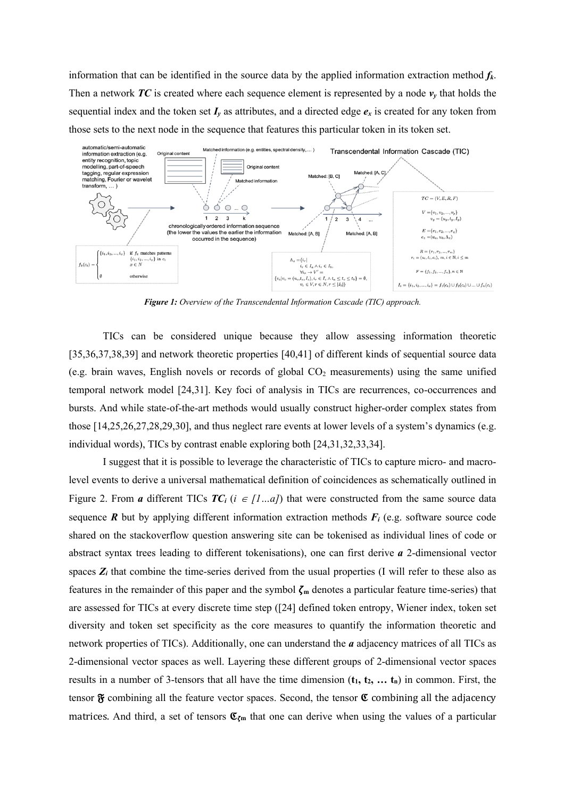information that can be identified in the source data by the applied information extraction method *fk*. Then a network  $TC$  is created where each sequence element is represented by a node  $v<sub>v</sub>$  that holds the sequential index and the token set  $I_y$  as attributes, and a directed edge  $e_x$  is created for any token from those sets to the next node in the sequence that features this particular token in its token set.



*Figure 1: Overview of the Transcendental Information Cascade (TIC) approach.*

TICs can be considered unique because they allow assessing information theoretic [35,36,37,38,39] and network theoretic properties [40,41] of different kinds of sequential source data (e.g. brain waves, English novels or records of global  $CO<sub>2</sub>$  measurements) using the same unified temporal network model [24,31]. Key foci of analysis in TICs are recurrences, co-occurrences and bursts. And while state-of-the-art methods would usually construct higher-order complex states from those [14,25,26,27,28,29,30], and thus neglect rare events at lower levels of a system's dynamics (e.g. individual words), TICs by contrast enable exploring both [24,31,32,33,34].

I suggest that it is possible to leverage the characteristic of TICs to capture micro- and macrolevel events to derive a universal mathematical definition of coincidences as schematically outlined in Figure 2. From *a* different TICs  $TC_i$  ( $i \in [1...a]$ ) that were constructed from the same source data sequence  $\vec{R}$  but by applying different information extraction methods  $F_i$  (e.g. software source code shared on the stackoverflow question answering site can be tokenised as individual lines of code or abstract syntax trees leading to different tokenisations), one can first derive *a* 2-dimensional vector spaces  $Z_i$  that combine the time-series derived from the usual properties (I will refer to these also as features in the remainder of this paper and the symbol  $\zeta_m$  denotes a particular feature time-series) that are assessed for TICs at every discrete time step ([24] defined token entropy, Wiener index, token set diversity and token set specificity as the core measures to quantify the information theoretic and network properties of TICs). Additionally, one can understand the *a* adjacency matrices of all TICs as 2-dimensional vector spaces as well. Layering these different groups of 2-dimensional vector spaces results in a number of 3-tensors that all have the time dimension  $(t_1, t_2, \ldots, t_n)$  in common. First, the tensor  $\mathfrak F$  combining all the feature vector spaces. Second, the tensor  $\mathfrak C$  combining all the adjacency matrices. And third, a set of tensors  $\mathfrak{C}_{\zeta_m}$  that one can derive when using the values of a particular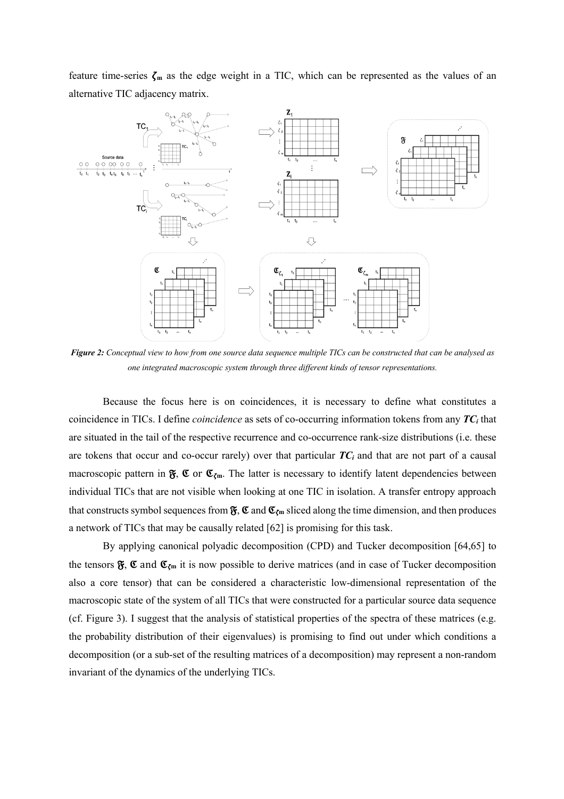feature time-series  $\zeta_m$  as the edge weight in a TIC, which can be represented as the values of an alternative TIC adjacency matrix.



*Figure 2: Conceptual view to how from one source data sequence multiple TICs can be constructed that can be analysed as one integrated macroscopic system through three different kinds of tensor representations.*

Because the focus here is on coincidences, it is necessary to define what constitutes a coincidence in TICs. I define *coincidence* as sets of co-occurring information tokens from any *TCi* that are situated in the tail of the respective recurrence and co-occurrence rank-size distributions (i.e. these are tokens that occur and co-occur rarely) over that particular *TCi* and that are not part of a causal macroscopic pattern in  $\mathfrak{F}, \mathfrak{C}$  or  $\mathfrak{C}_{\zeta_m}$ . The latter is necessary to identify latent dependencies between individual TICs that are not visible when looking at one TIC in isolation. A transfer entropy approach that constructs symbol sequences from  $\mathfrak{F}, \mathfrak{C}$  and  $\mathfrak{C}_{\zeta m}$  sliced along the time dimension, and then produces a network of TICs that may be causally related [62] is promising for this task.

By applying canonical polyadic decomposition (CPD) and Tucker decomposition [64,65] to the tensors  $\mathfrak{F}, \mathfrak{C}$  and  $\mathfrak{C}_{\zeta_m}$  it is now possible to derive matrices (and in case of Tucker decomposition also a core tensor) that can be considered a characteristic low-dimensional representation of the macroscopic state of the system of all TICs that were constructed for a particular source data sequence (cf. Figure 3). I suggest that the analysis of statistical properties of the spectra of these matrices (e.g. the probability distribution of their eigenvalues) is promising to find out under which conditions a decomposition (or a sub-set of the resulting matrices of a decomposition) may represent a non-random invariant of the dynamics of the underlying TICs.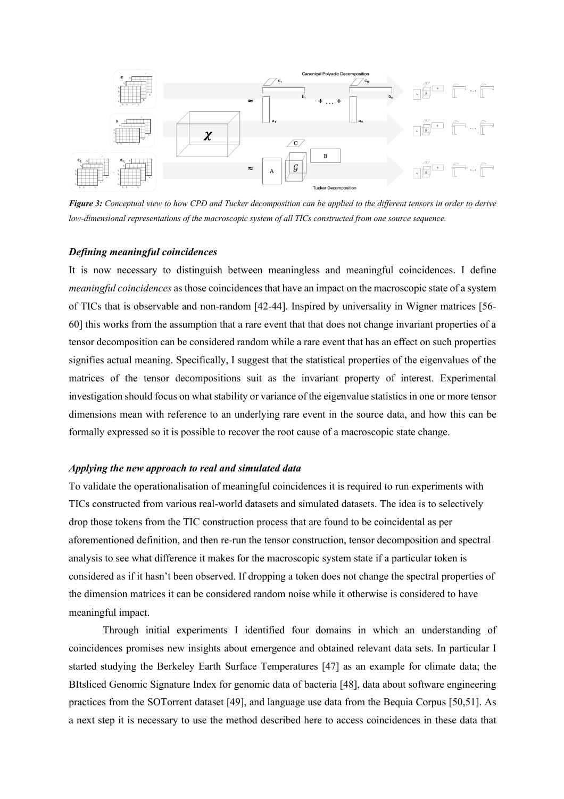

*Figure 3: Conceptual view to how CPD and Tucker decomposition can be applied to the different tensors in order to derive low-dimensional representations of the macroscopic system of all TICs constructed from one source sequence.*

### *Defining meaningful coincidences*

It is now necessary to distinguish between meaningless and meaningful coincidences. I define *meaningful coincidences* as those coincidences that have an impact on the macroscopic state of a system of TICs that is observable and non-random [42-44]. Inspired by universality in Wigner matrices [56- 60] this works from the assumption that a rare event that that does not change invariant properties of a tensor decomposition can be considered random while a rare event that has an effect on such properties signifies actual meaning. Specifically, I suggest that the statistical properties of the eigenvalues of the matrices of the tensor decompositions suit as the invariant property of interest. Experimental investigation should focus on what stability or variance of the eigenvalue statistics in one or more tensor dimensions mean with reference to an underlying rare event in the source data, and how this can be formally expressed so it is possible to recover the root cause of a macroscopic state change.

### *Applying the new approach to real and simulated data*

To validate the operationalisation of meaningful coincidences it is required to run experiments with TICs constructed from various real-world datasets and simulated datasets. The idea is to selectively drop those tokens from the TIC construction process that are found to be coincidental as per aforementioned definition, and then re-run the tensor construction, tensor decomposition and spectral analysis to see what difference it makes for the macroscopic system state if a particular token is considered as if it hasn't been observed. If dropping a token does not change the spectral properties of the dimension matrices it can be considered random noise while it otherwise is considered to have meaningful impact.

Through initial experiments I identified four domains in which an understanding of coincidences promises new insights about emergence and obtained relevant data sets. In particular I started studying the Berkeley Earth Surface Temperatures [47] as an example for climate data; the BItsliced Genomic Signature Index for genomic data of bacteria [48], data about software engineering practices from the SOTorrent dataset [49], and language use data from the Bequia Corpus [50,51]. As a next step it is necessary to use the method described here to access coincidences in these data that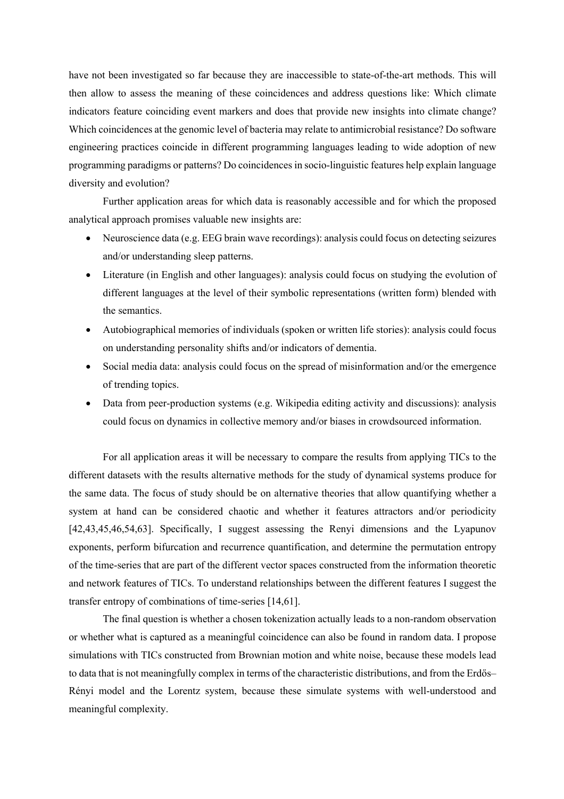have not been investigated so far because they are inaccessible to state-of-the-art methods. This will then allow to assess the meaning of these coincidences and address questions like: Which climate indicators feature coinciding event markers and does that provide new insights into climate change? Which coincidences at the genomic level of bacteria may relate to antimicrobial resistance? Do software engineering practices coincide in different programming languages leading to wide adoption of new programming paradigms or patterns? Do coincidences in socio-linguistic features help explain language diversity and evolution?

Further application areas for which data is reasonably accessible and for which the proposed analytical approach promises valuable new insights are:

- Neuroscience data (e.g. EEG brain wave recordings): analysis could focus on detecting seizures and/or understanding sleep patterns.
- Literature (in English and other languages): analysis could focus on studying the evolution of different languages at the level of their symbolic representations (written form) blended with the semantics.
- Autobiographical memories of individuals (spoken or written life stories): analysis could focus on understanding personality shifts and/or indicators of dementia.
- Social media data: analysis could focus on the spread of misinformation and/or the emergence of trending topics.
- Data from peer-production systems (e.g. Wikipedia editing activity and discussions): analysis could focus on dynamics in collective memory and/or biases in crowdsourced information.

For all application areas it will be necessary to compare the results from applying TICs to the different datasets with the results alternative methods for the study of dynamical systems produce for the same data. The focus of study should be on alternative theories that allow quantifying whether a system at hand can be considered chaotic and whether it features attractors and/or periodicity [42,43,45,46,54,63]. Specifically, I suggest assessing the Renyi dimensions and the Lyapunov exponents, perform bifurcation and recurrence quantification, and determine the permutation entropy of the time-series that are part of the different vector spaces constructed from the information theoretic and network features of TICs. To understand relationships between the different features I suggest the transfer entropy of combinations of time-series [14,61].

The final question is whether a chosen tokenization actually leads to a non-random observation or whether what is captured as a meaningful coincidence can also be found in random data. I propose simulations with TICs constructed from Brownian motion and white noise, because these models lead to data that is not meaningfully complex in terms of the characteristic distributions, and from the Erdős– Rényi model and the Lorentz system, because these simulate systems with well-understood and meaningful complexity.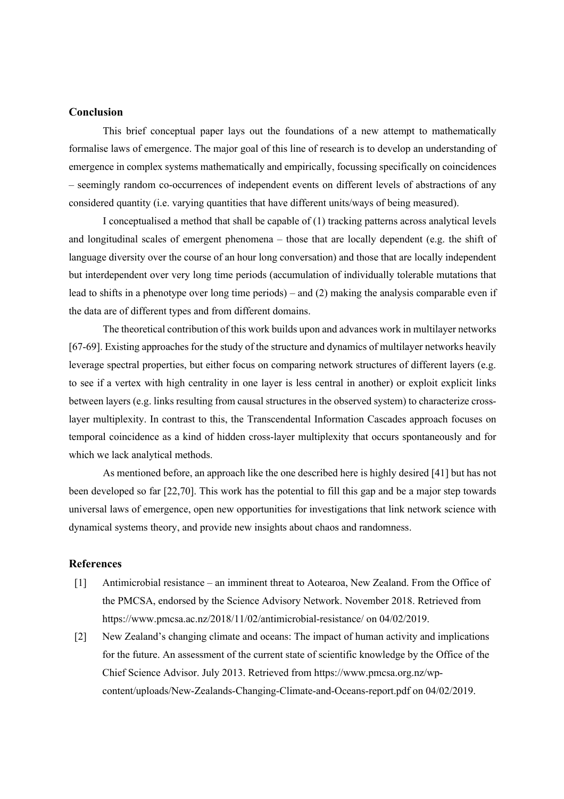# **Conclusion**

This brief conceptual paper lays out the foundations of a new attempt to mathematically formalise laws of emergence. The major goal of this line of research is to develop an understanding of emergence in complex systems mathematically and empirically, focussing specifically on coincidences – seemingly random co-occurrences of independent events on different levels of abstractions of any considered quantity (i.e. varying quantities that have different units/ways of being measured).

I conceptualised a method that shall be capable of (1) tracking patterns across analytical levels and longitudinal scales of emergent phenomena – those that are locally dependent (e.g. the shift of language diversity over the course of an hour long conversation) and those that are locally independent but interdependent over very long time periods (accumulation of individually tolerable mutations that lead to shifts in a phenotype over long time periods) – and (2) making the analysis comparable even if the data are of different types and from different domains.

The theoretical contribution of this work builds upon and advances work in multilayer networks [67-69]. Existing approaches for the study of the structure and dynamics of multilayer networks heavily leverage spectral properties, but either focus on comparing network structures of different layers (e.g. to see if a vertex with high centrality in one layer is less central in another) or exploit explicit links between layers (e.g. links resulting from causal structures in the observed system) to characterize crosslayer multiplexity. In contrast to this, the Transcendental Information Cascades approach focuses on temporal coincidence as a kind of hidden cross-layer multiplexity that occurs spontaneously and for which we lack analytical methods.

As mentioned before, an approach like the one described here is highly desired [41] but has not been developed so far [22,70]. This work has the potential to fill this gap and be a major step towards universal laws of emergence, open new opportunities for investigations that link network science with dynamical systems theory, and provide new insights about chaos and randomness.

### **References**

- [1] Antimicrobial resistance an imminent threat to Aotearoa, New Zealand. From the Office of the PMCSA, endorsed by the Science Advisory Network. November 2018. Retrieved from https://www.pmcsa.ac.nz/2018/11/02/antimicrobial-resistance/ on 04/02/2019.
- [2] New Zealand's changing climate and oceans: The impact of human activity and implications for the future. An assessment of the current state of scientific knowledge by the Office of the Chief Science Advisor. July 2013. Retrieved from https://www.pmcsa.org.nz/wpcontent/uploads/New-Zealands-Changing-Climate-and-Oceans-report.pdf on 04/02/2019.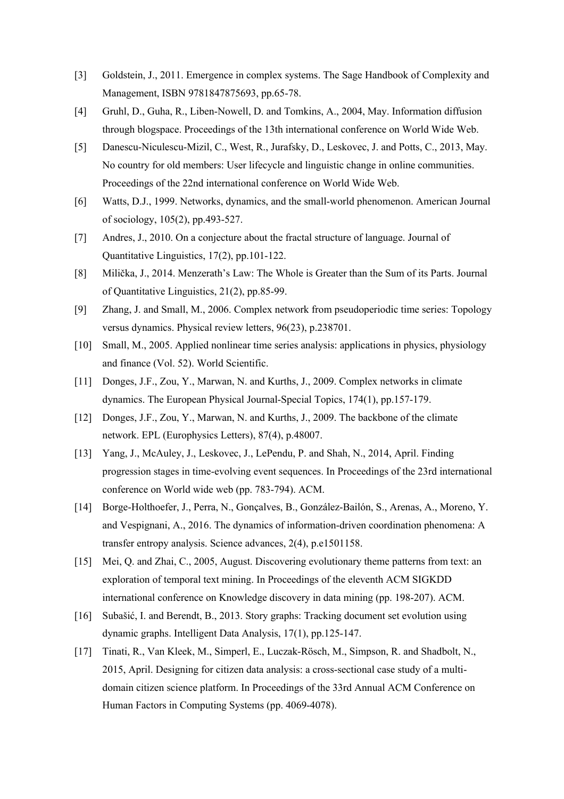- [3] Goldstein, J., 2011. Emergence in complex systems. The Sage Handbook of Complexity and Management, ISBN 9781847875693, pp.65-78.
- [4] Gruhl, D., Guha, R., Liben-Nowell, D. and Tomkins, A., 2004, May. Information diffusion through blogspace. Proceedings of the 13th international conference on World Wide Web.
- [5] Danescu-Niculescu-Mizil, C., West, R., Jurafsky, D., Leskovec, J. and Potts, C., 2013, May. No country for old members: User lifecycle and linguistic change in online communities. Proceedings of the 22nd international conference on World Wide Web.
- [6] Watts, D.J., 1999. Networks, dynamics, and the small-world phenomenon. American Journal of sociology, 105(2), pp.493-527.
- [7] Andres, J., 2010. On a conjecture about the fractal structure of language. Journal of Quantitative Linguistics, 17(2), pp.101-122.
- [8] Milička, J., 2014. Menzerath's Law: The Whole is Greater than the Sum of its Parts. Journal of Quantitative Linguistics, 21(2), pp.85-99.
- [9] Zhang, J. and Small, M., 2006. Complex network from pseudoperiodic time series: Topology versus dynamics. Physical review letters, 96(23), p.238701.
- [10] Small, M., 2005. Applied nonlinear time series analysis: applications in physics, physiology and finance (Vol. 52). World Scientific.
- [11] Donges, J.F., Zou, Y., Marwan, N. and Kurths, J., 2009. Complex networks in climate dynamics. The European Physical Journal-Special Topics, 174(1), pp.157-179.
- [12] Donges, J.F., Zou, Y., Marwan, N. and Kurths, J., 2009. The backbone of the climate network. EPL (Europhysics Letters), 87(4), p.48007.
- [13] Yang, J., McAuley, J., Leskovec, J., LePendu, P. and Shah, N., 2014, April. Finding progression stages in time-evolving event sequences. In Proceedings of the 23rd international conference on World wide web (pp. 783-794). ACM.
- [14] Borge-Holthoefer, J., Perra, N., Gonçalves, B., González-Bailón, S., Arenas, A., Moreno, Y. and Vespignani, A., 2016. The dynamics of information-driven coordination phenomena: A transfer entropy analysis. Science advances, 2(4), p.e1501158.
- [15] Mei, Q. and Zhai, C., 2005, August. Discovering evolutionary theme patterns from text: an exploration of temporal text mining. In Proceedings of the eleventh ACM SIGKDD international conference on Knowledge discovery in data mining (pp. 198-207). ACM.
- [16] Subašić, I. and Berendt, B., 2013. Story graphs: Tracking document set evolution using dynamic graphs. Intelligent Data Analysis, 17(1), pp.125-147.
- [17] Tinati, R., Van Kleek, M., Simperl, E., Luczak-Rösch, M., Simpson, R. and Shadbolt, N., 2015, April. Designing for citizen data analysis: a cross-sectional case study of a multidomain citizen science platform. In Proceedings of the 33rd Annual ACM Conference on Human Factors in Computing Systems (pp. 4069-4078).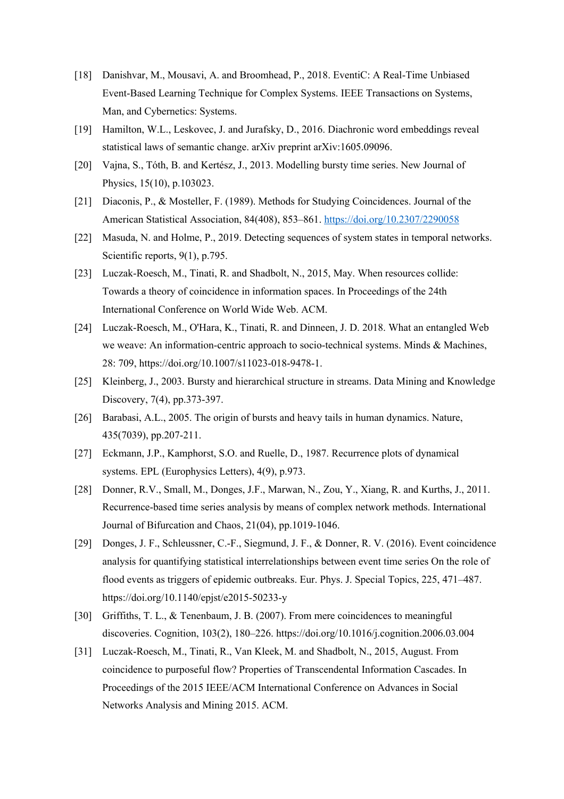- [18] Danishvar, M., Mousavi, A. and Broomhead, P., 2018. EventiC: A Real-Time Unbiased Event-Based Learning Technique for Complex Systems. IEEE Transactions on Systems, Man, and Cybernetics: Systems.
- [19] Hamilton, W.L., Leskovec, J. and Jurafsky, D., 2016. Diachronic word embeddings reveal statistical laws of semantic change. arXiv preprint arXiv:1605.09096.
- [20] Vajna, S., Tóth, B. and Kertész, J., 2013. Modelling bursty time series. New Journal of Physics, 15(10), p.103023.
- [21] Diaconis, P., & Mosteller, F. (1989). Methods for Studying Coincidences. Journal of the American Statistical Association, 84(408), 853–861. https://doi.org/10.2307/2290058
- [22] Masuda, N. and Holme, P., 2019. Detecting sequences of system states in temporal networks. Scientific reports, 9(1), p.795.
- [23] Luczak-Roesch, M., Tinati, R. and Shadbolt, N., 2015, May. When resources collide: Towards a theory of coincidence in information spaces. In Proceedings of the 24th International Conference on World Wide Web. ACM.
- [24] Luczak-Roesch, M., O'Hara, K., Tinati, R. and Dinneen, J. D. 2018. What an entangled Web we weave: An information-centric approach to socio-technical systems. Minds & Machines, 28: 709, https://doi.org/10.1007/s11023-018-9478-1.
- [25] Kleinberg, J., 2003. Bursty and hierarchical structure in streams. Data Mining and Knowledge Discovery, 7(4), pp.373-397.
- [26] Barabasi, A.L., 2005. The origin of bursts and heavy tails in human dynamics. Nature, 435(7039), pp.207-211.
- [27] Eckmann, J.P., Kamphorst, S.O. and Ruelle, D., 1987. Recurrence plots of dynamical systems. EPL (Europhysics Letters), 4(9), p.973.
- [28] Donner, R.V., Small, M., Donges, J.F., Marwan, N., Zou, Y., Xiang, R. and Kurths, J., 2011. Recurrence-based time series analysis by means of complex network methods. International Journal of Bifurcation and Chaos, 21(04), pp.1019-1046.
- [29] Donges, J. F., Schleussner, C.-F., Siegmund, J. F., & Donner, R. V. (2016). Event coincidence analysis for quantifying statistical interrelationships between event time series On the role of flood events as triggers of epidemic outbreaks. Eur. Phys. J. Special Topics, 225, 471–487. https://doi.org/10.1140/epjst/e2015-50233-y
- [30] Griffiths, T. L., & Tenenbaum, J. B. (2007). From mere coincidences to meaningful discoveries. Cognition, 103(2), 180–226. https://doi.org/10.1016/j.cognition.2006.03.004
- [31] Luczak-Roesch, M., Tinati, R., Van Kleek, M. and Shadbolt, N., 2015, August. From coincidence to purposeful flow? Properties of Transcendental Information Cascades. In Proceedings of the 2015 IEEE/ACM International Conference on Advances in Social Networks Analysis and Mining 2015. ACM.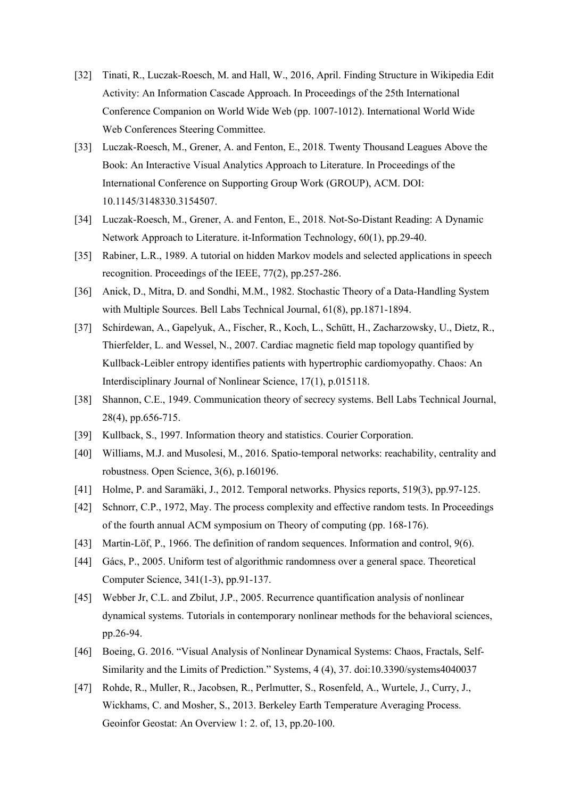- [32] Tinati, R., Luczak-Roesch, M. and Hall, W., 2016, April. Finding Structure in Wikipedia Edit Activity: An Information Cascade Approach. In Proceedings of the 25th International Conference Companion on World Wide Web (pp. 1007-1012). International World Wide Web Conferences Steering Committee.
- [33] Luczak-Roesch, M., Grener, A. and Fenton, E., 2018. Twenty Thousand Leagues Above the Book: An Interactive Visual Analytics Approach to Literature. In Proceedings of the International Conference on Supporting Group Work (GROUP), ACM. DOI: 10.1145/3148330.3154507.
- [34] Luczak-Roesch, M., Grener, A. and Fenton, E., 2018. Not-So-Distant Reading: A Dynamic Network Approach to Literature. it-Information Technology, 60(1), pp.29-40.
- [35] Rabiner, L.R., 1989. A tutorial on hidden Markov models and selected applications in speech recognition. Proceedings of the IEEE, 77(2), pp.257-286.
- [36] Anick, D., Mitra, D. and Sondhi, M.M., 1982. Stochastic Theory of a Data-Handling System with Multiple Sources. Bell Labs Technical Journal, 61(8), pp.1871-1894.
- [37] Schirdewan, A., Gapelyuk, A., Fischer, R., Koch, L., Schütt, H., Zacharzowsky, U., Dietz, R., Thierfelder, L. and Wessel, N., 2007. Cardiac magnetic field map topology quantified by Kullback-Leibler entropy identifies patients with hypertrophic cardiomyopathy. Chaos: An Interdisciplinary Journal of Nonlinear Science, 17(1), p.015118.
- [38] Shannon, C.E., 1949. Communication theory of secrecy systems. Bell Labs Technical Journal, 28(4), pp.656-715.
- [39] Kullback, S., 1997. Information theory and statistics. Courier Corporation.
- [40] Williams, M.J. and Musolesi, M., 2016. Spatio-temporal networks: reachability, centrality and robustness. Open Science, 3(6), p.160196.
- [41] Holme, P. and Saramäki, J., 2012. Temporal networks. Physics reports, 519(3), pp.97-125.
- [42] Schnorr, C.P., 1972, May. The process complexity and effective random tests. In Proceedings of the fourth annual ACM symposium on Theory of computing (pp. 168-176).
- [43] Martin-Löf, P., 1966. The definition of random sequences. Information and control, 9(6).
- [44] Gács, P., 2005. Uniform test of algorithmic randomness over a general space. Theoretical Computer Science, 341(1-3), pp.91-137.
- [45] Webber Jr, C.L. and Zbilut, J.P., 2005. Recurrence quantification analysis of nonlinear dynamical systems. Tutorials in contemporary nonlinear methods for the behavioral sciences, pp.26-94.
- [46] Boeing, G. 2016. "Visual Analysis of Nonlinear Dynamical Systems: Chaos, Fractals, Self-Similarity and the Limits of Prediction." Systems, 4 (4), 37. doi:10.3390/systems4040037
- [47] Rohde, R., Muller, R., Jacobsen, R., Perlmutter, S., Rosenfeld, A., Wurtele, J., Curry, J., Wickhams, C. and Mosher, S., 2013. Berkeley Earth Temperature Averaging Process. Geoinfor Geostat: An Overview 1: 2. of, 13, pp.20-100.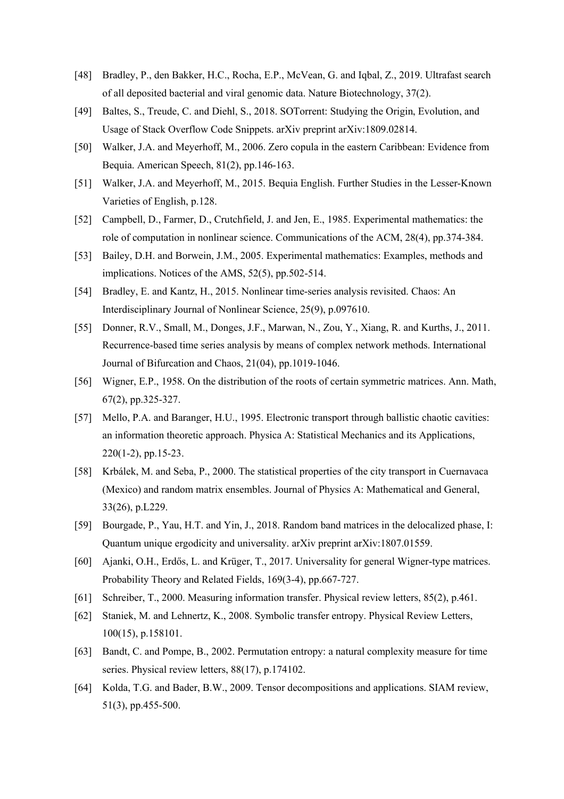- [48] Bradley, P., den Bakker, H.C., Rocha, E.P., McVean, G. and Iqbal, Z., 2019. Ultrafast search of all deposited bacterial and viral genomic data. Nature Biotechnology, 37(2).
- [49] Baltes, S., Treude, C. and Diehl, S., 2018. SOTorrent: Studying the Origin, Evolution, and Usage of Stack Overflow Code Snippets. arXiv preprint arXiv:1809.02814.
- [50] Walker, J.A. and Meyerhoff, M., 2006. Zero copula in the eastern Caribbean: Evidence from Bequia. American Speech, 81(2), pp.146-163.
- [51] Walker, J.A. and Meyerhoff, M., 2015. Bequia English. Further Studies in the Lesser-Known Varieties of English, p.128.
- [52] Campbell, D., Farmer, D., Crutchfield, J. and Jen, E., 1985. Experimental mathematics: the role of computation in nonlinear science. Communications of the ACM, 28(4), pp.374-384.
- [53] Bailey, D.H. and Borwein, J.M., 2005. Experimental mathematics: Examples, methods and implications. Notices of the AMS, 52(5), pp.502-514.
- [54] Bradley, E. and Kantz, H., 2015. Nonlinear time-series analysis revisited. Chaos: An Interdisciplinary Journal of Nonlinear Science, 25(9), p.097610.
- [55] Donner, R.V., Small, M., Donges, J.F., Marwan, N., Zou, Y., Xiang, R. and Kurths, J., 2011. Recurrence-based time series analysis by means of complex network methods. International Journal of Bifurcation and Chaos, 21(04), pp.1019-1046.
- [56] Wigner, E.P., 1958. On the distribution of the roots of certain symmetric matrices. Ann. Math, 67(2), pp.325-327.
- [57] Mello, P.A. and Baranger, H.U., 1995. Electronic transport through ballistic chaotic cavities: an information theoretic approach. Physica A: Statistical Mechanics and its Applications, 220(1-2), pp.15-23.
- [58] Krbálek, M. and Seba, P., 2000. The statistical properties of the city transport in Cuernavaca (Mexico) and random matrix ensembles. Journal of Physics A: Mathematical and General, 33(26), p.L229.
- [59] Bourgade, P., Yau, H.T. and Yin, J., 2018. Random band matrices in the delocalized phase, I: Quantum unique ergodicity and universality. arXiv preprint arXiv:1807.01559.
- [60] Ajanki, O.H., Erdős, L. and Krüger, T., 2017. Universality for general Wigner-type matrices. Probability Theory and Related Fields, 169(3-4), pp.667-727.
- [61] Schreiber, T., 2000. Measuring information transfer. Physical review letters, 85(2), p.461.
- [62] Staniek, M. and Lehnertz, K., 2008. Symbolic transfer entropy. Physical Review Letters, 100(15), p.158101.
- [63] Bandt, C. and Pompe, B., 2002. Permutation entropy: a natural complexity measure for time series. Physical review letters, 88(17), p.174102.
- [64] Kolda, T.G. and Bader, B.W., 2009. Tensor decompositions and applications. SIAM review, 51(3), pp.455-500.